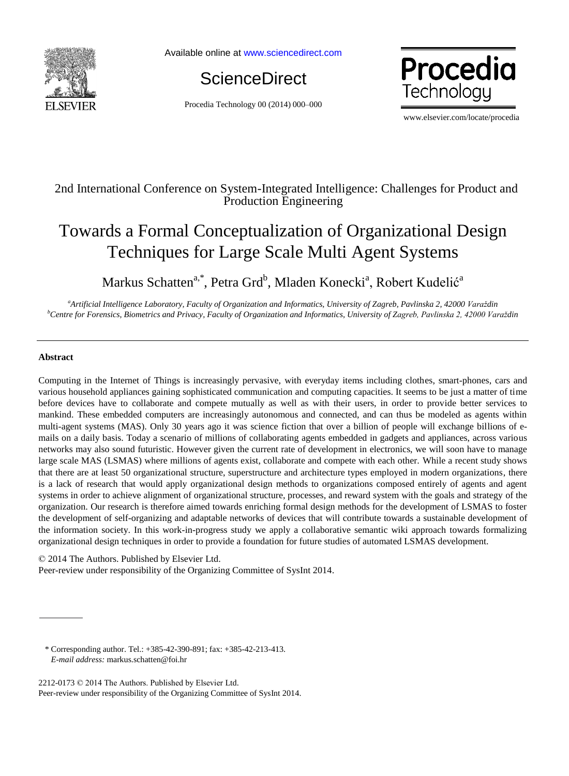

Available online at www.sciencedirect.com



Procedia Technology 00 (2014) 000–000



www.elsevier.com/locate/procedia

# 2nd International Conference on System-Integrated Intelligence: Challenges for Product and Production Engineering

# Towards a Formal Conceptualization of Organizational Design Techniques for Large Scale Multi Agent Systems

Markus Schatten<sup>a,\*</sup>, Petra Grd<sup>b</sup>, Mladen Konecki<sup>a</sup>, Robert Kudelić<sup>a</sup>

*<sup>a</sup>Artificial Intelligence Laboratory, Faculty of Organization and Informatics, University of Zagreb, Pavlinska 2, 42000 Varaždin <sup>b</sup>Centre for Forensics, Biometrics and Privacy, Faculty of Organization and Informatics, University of Zagreb, Pavlinska 2, 42000 Varaždin*

## **Abstract**

Computing in the Internet of Things is increasingly pervasive, with everyday items including clothes, smart-phones, cars and various household appliances gaining sophisticated communication and computing capacities. It seems to be just a matter of time before devices have to collaborate and compete mutually as well as with their users, in order to provide better services to mankind. These embedded computers are increasingly autonomous and connected, and can thus be modeled as agents within multi-agent systems (MAS). Only 30 years ago it was science fiction that over a billion of people will exchange billions of emails on a daily basis. Today a scenario of millions of collaborating agents embedded in gadgets and appliances, across various networks may also sound futuristic. However given the current rate of development in electronics, we will soon have to manage large scale MAS (LSMAS) where millions of agents exist, collaborate and compete with each other. While a recent study shows that there are at least 50 organizational structure, superstructure and architecture types employed in modern organizations, there is a lack of research that would apply organizational design methods to organizations composed entirely of agents and agent systems in order to achieve alignment of organizational structure, processes, and reward system with the goals and strategy of the organization. Our research is therefore aimed towards enriching formal design methods for the development of LSMAS to foster the development of self-organizing and adaptable networks of devices that will contribute towards a sustainable development of the information society. In this work-in-progress study we apply a collaborative semantic wiki approach towards formalizing organizational design techniques in order to provide a foundation for future studies of automated LSMAS development.

© 2014 The Authors. Published by Elsevier Ltd.

Peer-review under responsibility of the Organizing Committee of SysInt 2014.

 \* Corresponding author. Tel.: +385-42-390-891; fax: +385-42-213-413. *E-mail address:* markus.schatten@foi.hr

2212-0173 © 2014 The Authors. Published by Elsevier Ltd. Peer-review under responsibility of the Organizing Committee of SysInt 2014.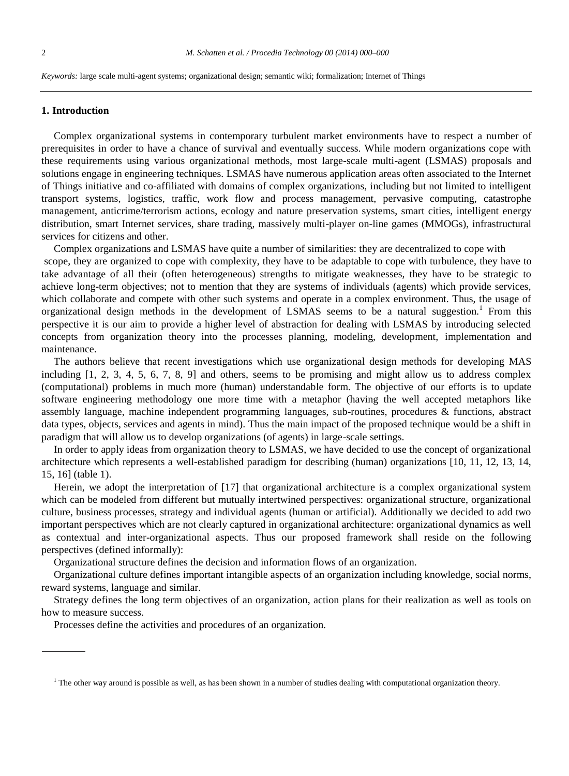*Keywords:* large scale multi-agent systems; organizational design; semantic wiki; formalization; Internet of Things

#### **1. Introduction**

Complex organizational systems in contemporary turbulent market environments have to respect a number of prerequisites in order to have a chance of survival and eventually success. While modern organizations cope with these requirements using various organizational methods, most large-scale multi-agent (LSMAS) proposals and solutions engage in engineering techniques. LSMAS have numerous application areas often associated to the Internet of Things initiative and co-affiliated with domains of complex organizations, including but not limited to intelligent transport systems, logistics, traffic, work flow and process management, pervasive computing, catastrophe management, anticrime/terrorism actions, ecology and nature preservation systems, smart cities, intelligent energy distribution, smart Internet services, share trading, massively multi-player on-line games (MMOGs), infrastructural services for citizens and other.

Complex organizations and LSMAS have quite a number of similarities: they are decentralized to cope with scope, they are organized to cope with complexity, they have to be adaptable to cope with turbulence, they have to take advantage of all their (often heterogeneous) strengths to mitigate weaknesses, they have to be strategic to achieve long-term objectives; not to mention that they are systems of individuals (agents) which provide services, which collaborate and compete with other such systems and operate in a complex environment. Thus, the usage of organizational design methods in the development of LSMAS seems to be a natural suggestion.<sup>1</sup> From this perspective it is our aim to provide a higher level of abstraction for dealing with LSMAS by introducing selected concepts from organization theory into the processes planning, modeling, development, implementation and maintenance.

The authors believe that recent investigations which use organizational design methods for developing MAS including [1, 2, 3, 4, 5, 6, 7, 8, 9] and others, seems to be promising and might allow us to address complex (computational) problems in much more (human) understandable form. The objective of our efforts is to update software engineering methodology one more time with a metaphor (having the well accepted metaphors like assembly language, machine independent programming languages, sub-routines, procedures & functions, abstract data types, objects, services and agents in mind). Thus the main impact of the proposed technique would be a shift in paradigm that will allow us to develop organizations (of agents) in large-scale settings.

In order to apply ideas from organization theory to LSMAS, we have decided to use the concept of organizational architecture which represents a well-established paradigm for describing (human) organizations [10, 11, 12, 13, 14, 15, 16] (table 1).

Herein, we adopt the interpretation of [17] that organizational architecture is a complex organizational system which can be modeled from different but mutually intertwined perspectives: organizational structure, organizational culture, business processes, strategy and individual agents (human or artificial). Additionally we decided to add two important perspectives which are not clearly captured in organizational architecture: organizational dynamics as well as contextual and inter-organizational aspects. Thus our proposed framework shall reside on the following perspectives (defined informally):

Organizational structure defines the decision and information flows of an organization.

Organizational culture defines important intangible aspects of an organization including knowledge, social norms, reward systems, language and similar.

Strategy defines the long term objectives of an organization, action plans for their realization as well as tools on how to measure success.

Processes define the activities and procedures of an organization.

 $<sup>1</sup>$  The other way around is possible as well, as has been shown in a number of studies dealing with computational organization theory.</sup>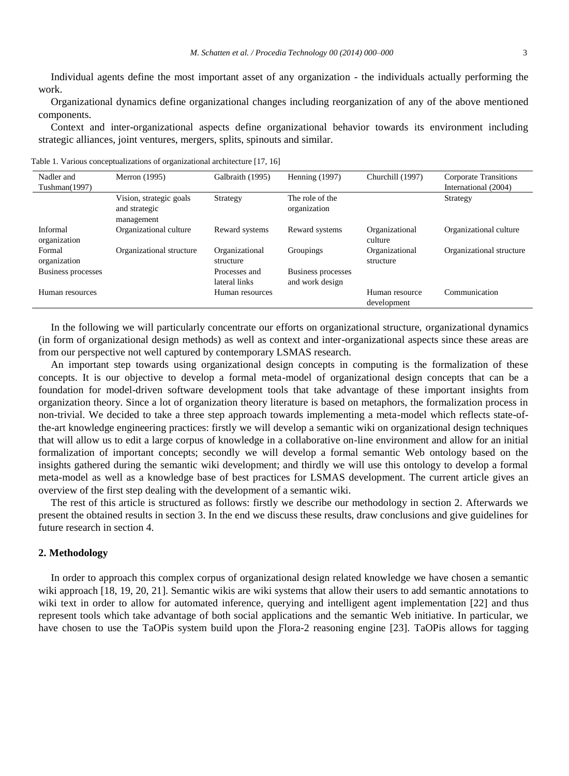Individual agents define the most important asset of any organization - the individuals actually performing the work.

Organizational dynamics define organizational changes including reorganization of any of the above mentioned components.

Context and inter-organizational aspects define organizational behavior towards its environment including strategic alliances, joint ventures, mergers, splits, spinouts and similar.

| Nadler and                | Merron (1995)                                          | Galbraith (1995)               | Henning $(1997)$                      | Churchill (1997)              | Corporate Transitions    |
|---------------------------|--------------------------------------------------------|--------------------------------|---------------------------------------|-------------------------------|--------------------------|
| Tushman(1997)             |                                                        |                                |                                       |                               | International (2004)     |
|                           | Vision, strategic goals<br>and strategic<br>management | Strategy                       | The role of the<br>organization       |                               | Strategy                 |
| Informal<br>organization  | Organizational culture                                 | Reward systems                 | Reward systems                        | Organizational<br>culture     | Organizational culture   |
| Formal<br>organization    | Organizational structure                               | Organizational<br>structure    | Groupings                             | Organizational<br>structure   | Organizational structure |
| <b>Business processes</b> |                                                        | Processes and<br>lateral links | Business processes<br>and work design |                               |                          |
| Human resources           |                                                        | Human resources                |                                       | Human resource<br>development | Communication            |

Table 1. Various conceptualizations of organizational architecture [17, 16]

In the following we will particularly concentrate our efforts on organizational structure, organizational dynamics (in form of organizational design methods) as well as context and inter-organizational aspects since these areas are from our perspective not well captured by contemporary LSMAS research.

An important step towards using organizational design concepts in computing is the formalization of these concepts. It is our objective to develop a formal meta-model of organizational design concepts that can be a foundation for model-driven software development tools that take advantage of these important insights from organization theory. Since a lot of organization theory literature is based on metaphors, the formalization process in non-trivial. We decided to take a three step approach towards implementing a meta-model which reflects state-ofthe-art knowledge engineering practices: firstly we will develop a semantic wiki on organizational design techniques that will allow us to edit a large corpus of knowledge in a collaborative on-line environment and allow for an initial formalization of important concepts; secondly we will develop a formal semantic Web ontology based on the insights gathered during the semantic wiki development; and thirdly we will use this ontology to develop a formal meta-model as well as a knowledge base of best practices for LSMAS development. The current article gives an overview of the first step dealing with the development of a semantic wiki.

The rest of this article is structured as follows: firstly we describe our methodology in section 2. Afterwards we present the obtained results in section 3. In the end we discuss these results, draw conclusions and give guidelines for future research in section 4.

#### **2. Methodology**

In order to approach this complex corpus of organizational design related knowledge we have chosen a semantic wiki approach [18, 19, 20, 21]. Semantic wikis are wiki systems that allow their users to add semantic annotations to wiki text in order to allow for automated inference, querying and intelligent agent implementation [22] and thus represent tools which take advantage of both social applications and the semantic Web initiative. In particular, we have chosen to use the TaOPis system build upon the Flora-2 reasoning engine [23]. TaOPis allows for tagging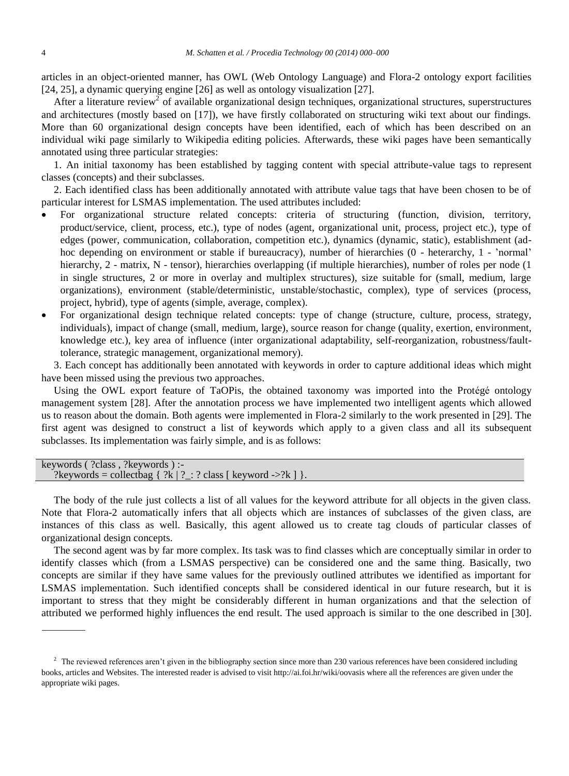articles in an object-oriented manner, has OWL (Web Ontology Language) and Flora-2 ontology export facilities [24, 25], a dynamic querying engine [26] as well as ontology visualization [27].

After a literature review<sup>2</sup> of available organizational design techniques, organizational structures, superstructures and architectures (mostly based on [17]), we have firstly collaborated on structuring wiki text about our findings. More than 60 organizational design concepts have been identified, each of which has been described on an individual wiki page similarly to Wikipedia editing policies. Afterwards, these wiki pages have been semantically annotated using three particular strategies:

1. An initial taxonomy has been established by tagging content with special attribute-value tags to represent classes (concepts) and their subclasses.

2. Each identified class has been additionally annotated with attribute value tags that have been chosen to be of particular interest for LSMAS implementation. The used attributes included:

- For organizational structure related concepts: criteria of structuring (function, division, territory, product/service, client, process, etc.), type of nodes (agent, organizational unit, process, project etc.), type of edges (power, communication, collaboration, competition etc.), dynamics (dynamic, static), establishment (adhoc depending on environment or stable if bureaucracy), number of hierarchies (0 - heterarchy, 1 - 'normal' hierarchy, 2 - matrix, N - tensor), hierarchies overlapping (if multiple hierarchies), number of roles per node (1 in single structures, 2 or more in overlay and multiplex structures), size suitable for (small, medium, large organizations), environment (stable/deterministic, unstable/stochastic, complex), type of services (process, project, hybrid), type of agents (simple, average, complex).
- For organizational design technique related concepts: type of change (structure, culture, process, strategy, individuals), impact of change (small, medium, large), source reason for change (quality, exertion, environment, knowledge etc.), key area of influence (inter organizational adaptability, self-reorganization, robustness/faulttolerance, strategic management, organizational memory).

3. Each concept has additionally been annotated with keywords in order to capture additional ideas which might have been missed using the previous two approaches.

Using the OWL export feature of TaOPis, the obtained taxonomy was imported into the Protégé ontology management system [28]. After the annotation process we have implemented two intelligent agents which allowed us to reason about the domain. Both agents were implemented in Flora-2 similarly to the work presented in [29]. The first agent was designed to construct a list of keywords which apply to a given class and all its subsequent subclasses. Its implementation was fairly simple, and is as follows:

| keywords $($ ?class, ?keywords $)$ :-                                               |
|-------------------------------------------------------------------------------------|
| ?keywords = collectbag $\{ ?k   ?_:: ? \text{ class } [\text{ keyword } > ?k ] \}.$ |

The body of the rule just collects a list of all values for the keyword attribute for all objects in the given class. Note that Flora-2 automatically infers that all objects which are instances of subclasses of the given class, are instances of this class as well. Basically, this agent allowed us to create tag clouds of particular classes of organizational design concepts.

The second agent was by far more complex. Its task was to find classes which are conceptually similar in order to identify classes which (from a LSMAS perspective) can be considered one and the same thing. Basically, two concepts are similar if they have same values for the previously outlined attributes we identified as important for LSMAS implementation. Such identified concepts shall be considered identical in our future research, but it is important to stress that they might be considerably different in human organizations and that the selection of attributed we performed highly influences the end result. The used approach is similar to the one described in [30].

<sup>&</sup>lt;sup>2</sup> The reviewed references aren't given in the bibliography section since more than 230 various references have been considered including books, articles and Websites. The interested reader is advised to visit http://ai.foi.hr/wiki/oovasis where all the references are given under the appropriate wiki pages.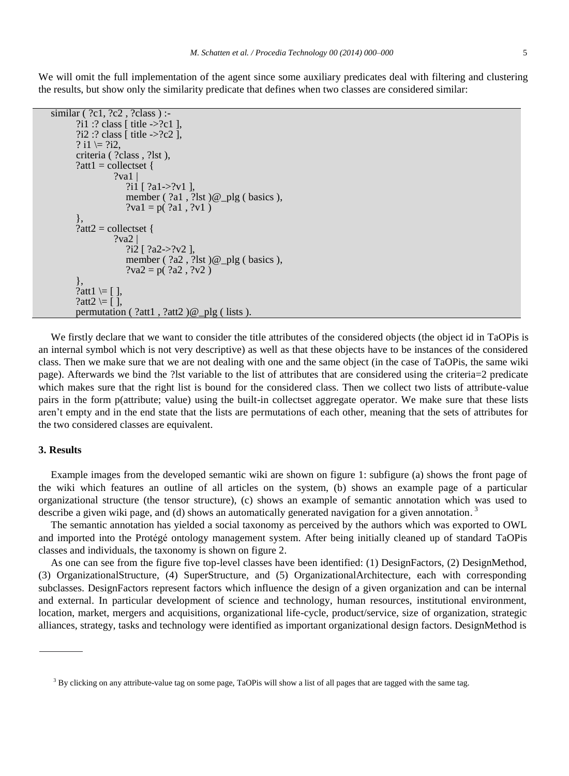We will omit the full implementation of the agent since some auxiliary predicates deal with filtering and clustering the results, but show only the similarity predicate that defines when two classes are considered similar:

```
similar ( ?c1, ?c2, ?class ) :-
?i1 :? class [ title ->?c1 ],
?i2 :? class [ title ->?c2 ],
? i1 = ?i2,
criteria ( ?class , ?lst ),
?att1 = collectset {
           ?va1?i1 [ ?a1->?v1 ],
              member ( ?a1 , ?lst ) @_plg ( basics ),
              ?val = p( ?a1 , ?v1 )},
?att2 = collectset {
           2<sub>va</sub>2?i2 [ ?a2->?v2 ],
              member ( ?a2 , ?lst )@_plg ( basics ),
              ?va2 = p( ?a2 , ?v2 )},
?att1 \models [ \ ],
?att2 \models [ ],
permutation (?att1, ?att2)@ plg ( lists).
```
We firstly declare that we want to consider the title attributes of the considered objects (the object id in TaOPis is an internal symbol which is not very descriptive) as well as that these objects have to be instances of the considered class. Then we make sure that we are not dealing with one and the same object (in the case of TaOPis, the same wiki page). Afterwards we bind the ?lst variable to the list of attributes that are considered using the criteria=2 predicate which makes sure that the right list is bound for the considered class. Then we collect two lists of attribute-value pairs in the form p(attribute; value) using the built-in collectset aggregate operator. We make sure that these lists aren't empty and in the end state that the lists are permutations of each other, meaning that the sets of attributes for the two considered classes are equivalent.

### **3. Results**

Example images from the developed semantic wiki are shown on figure 1: subfigure (a) shows the front page of the wiki which features an outline of all articles on the system, (b) shows an example page of a particular organizational structure (the tensor structure), (c) shows an example of semantic annotation which was used to describe a given wiki page, and (d) shows an automatically generated navigation for a given annotation.<sup>3</sup>

The semantic annotation has yielded a social taxonomy as perceived by the authors which was exported to OWL and imported into the Protégé ontology management system. After being initially cleaned up of standard TaOPis classes and individuals, the taxonomy is shown on figure 2.

As one can see from the figure five top-level classes have been identified: (1) DesignFactors, (2) DesignMethod, (3) OrganizationalStructure, (4) SuperStructure, and (5) OrganizationalArchitecture, each with corresponding subclasses. DesignFactors represent factors which influence the design of a given organization and can be internal and external. In particular development of science and technology, human resources, institutional environment, location, market, mergers and acquisitions, organizational life-cycle, product/service, size of organization, strategic alliances, strategy, tasks and technology were identified as important organizational design factors. DesignMethod is

<sup>&</sup>lt;sup>3</sup> By clicking on any attribute-value tag on some page, TaOPis will show a list of all pages that are tagged with the same tag.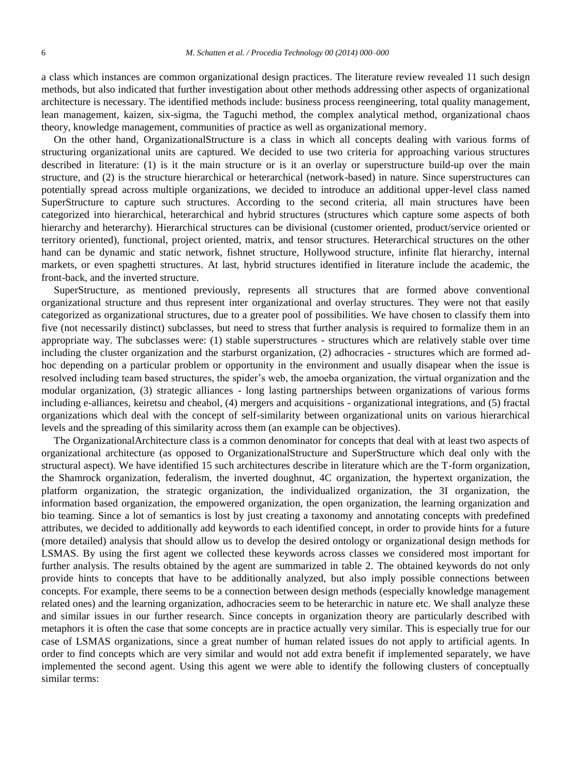a class which instances are common organizational design practices. The literature review revealed 11 such design methods, but also indicated that further investigation about other methods addressing other aspects of organizational architecture is necessary. The identified methods include: business process reengineering, total quality management, lean management, kaizen, six-sigma, the Taguchi method, the complex analytical method, organizational chaos theory, knowledge management, communities of practice as well as organizational memory.

On the other hand, OrganizationalStructure is a class in which all concepts dealing with various forms of structuring organizational units are captured. We decided to use two criteria for approaching various structures described in literature: (1) is it the main structure or is it an overlay or superstructure build-up over the main structure, and (2) is the structure hierarchical or heterarchical (network-based) in nature. Since superstructures can potentially spread across multiple organizations, we decided to introduce an additional upper-level class named SuperStructure to capture such structures. According to the second criteria, all main structures have been categorized into hierarchical, heterarchical and hybrid structures (structures which capture some aspects of both hierarchy and heterarchy). Hierarchical structures can be divisional (customer oriented, product/service oriented or territory oriented), functional, project oriented, matrix, and tensor structures. Heterarchical structures on the other hand can be dynamic and static network, fishnet structure, Hollywood structure, infinite flat hierarchy, internal markets, or even spaghetti structures. At last, hybrid structures identified in literature include the academic, the front-back, and the inverted structure.

SuperStructure, as mentioned previously, represents all structures that are formed above conventional organizational structure and thus represent inter organizational and overlay structures. They were not that easily categorized as organizational structures, due to a greater pool of possibilities. We have chosen to classify them into five (not necessarily distinct) subclasses, but need to stress that further analysis is required to formalize them in an appropriate way. The subclasses were: (1) stable superstructures - structures which are relatively stable over time including the cluster organization and the starburst organization, (2) adhocracies - structures which are formed adhoc depending on a particular problem or opportunity in the environment and usually disapear when the issue is resolved including team based structures, the spider's web, the amoeba organization, the virtual organization and the modular organization, (3) strategic alliances - long lasting partnerships between organizations of various forms including e-alliances, keiretsu and cheabol, (4) mergers and acquisitions - organizational integrations, and (5) fractal organizations which deal with the concept of self-similarity between organizational units on various hierarchical levels and the spreading of this similarity across them (an example can be objectives).

The OrganizationalArchitecture class is a common denominator for concepts that deal with at least two aspects of organizational architecture (as opposed to OrganizationalStructure and SuperStructure which deal only with the structural aspect). We have identified 15 such architectures describe in literature which are the T-form organization, the Shamrock organization, federalism, the inverted doughnut, 4C organization, the hypertext organization, the platform organization, the strategic organization, the individualized organization, the 3I organization, the information based organization, the empowered organization, the open organization, the learning organization and bio teaming. Since a lot of semantics is lost by just creating a taxonomy and annotating concepts with predefined attributes, we decided to additionally add keywords to each identified concept, in order to provide hints for a future (more detailed) analysis that should allow us to develop the desired ontology or organizational design methods for LSMAS. By using the first agent we collected these keywords across classes we considered most important for further analysis. The results obtained by the agent are summarized in table 2. The obtained keywords do not only provide hints to concepts that have to be additionally analyzed, but also imply possible connections between concepts. For example, there seems to be a connection between design methods (especially knowledge management related ones) and the learning organization, adhocracies seem to be heterarchic in nature etc. We shall analyze these and similar issues in our further research. Since concepts in organization theory are particularly described with metaphors it is often the case that some concepts are in practice actually very similar. This is especially true for our case of LSMAS organizations, since a great number of human related issues do not apply to artificial agents. In order to find concepts which are very similar and would not add extra benefit if implemented separately, we have implemented the second agent. Using this agent we were able to identify the following clusters of conceptually similar terms: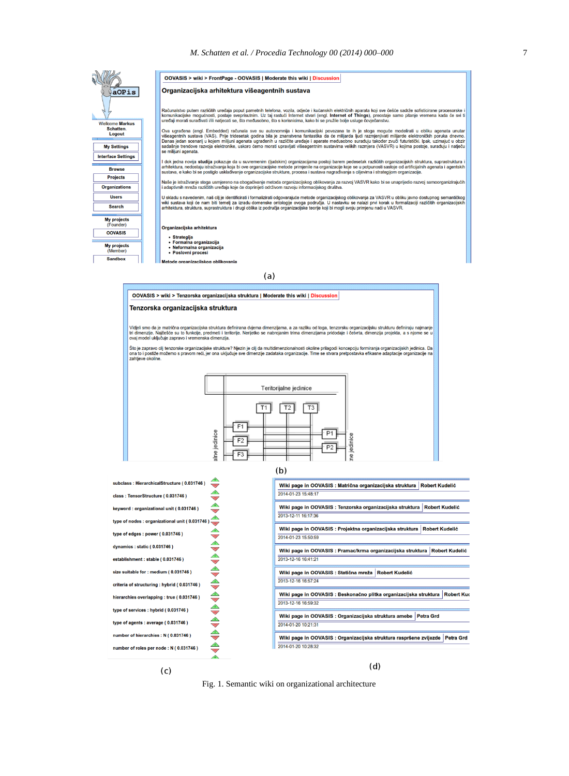

 $(c)$ 

 $(d)$ 

Fig. 1. Semantic wiki on organizational architecture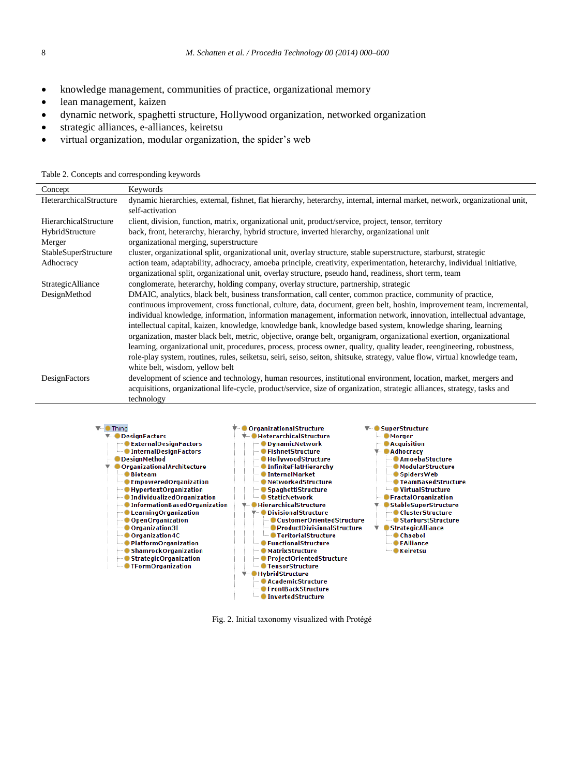- knowledge management, communities of practice, organizational memory
- lean management, kaizen

 $C_{\text{current}}$  Keywords

- dynamic network, spaghetti structure, Hollywood organization, networked organization
- strategic alliances, e-alliances, keiretsu
- virtual organization, modular organization, the spider's web

Table 2. Concepts and corresponding keywords

| Concept                | <b>Revwords</b>                                                                                                                                                                                                                      |  |  |
|------------------------|--------------------------------------------------------------------------------------------------------------------------------------------------------------------------------------------------------------------------------------|--|--|
| HeterarchicalStructure | dynamic hierarchies, external, fishnet, flat hierarchy, heterarchy, internal, internal market, network, organizational unit,<br>self-activation                                                                                      |  |  |
| HierarchicalStructure  | client, division, function, matrix, organizational unit, product/service, project, tensor, territory                                                                                                                                 |  |  |
| HybridStructure        | back, front, heterarchy, hierarchy, hybrid structure, inverted hierarchy, organizational unit                                                                                                                                        |  |  |
| Merger                 | organizational merging, superstructure                                                                                                                                                                                               |  |  |
| StableSuperStructure   | cluster, organizational split, organizational unit, overlay structure, stable superstructure, starburst, strategic                                                                                                                   |  |  |
| Adhocracy              | action team, adaptability, adhocracy, amoeba principle, creativity, experimentation, heterarchy, individual initiative,<br>organizational split, organizational unit, overlay structure, pseudo hand, readiness, short term, team    |  |  |
| StrategicAlliance      | conglomerate, heterarchy, holding company, overlay structure, partnership, strategic                                                                                                                                                 |  |  |
| DesignMethod           | DMAIC, analytics, black belt, business transformation, call center, common practice, community of practice,<br>continuous improvement, cross functional, culture, data, document, green belt, hoshin, improvement team, incremental, |  |  |
|                        | individual knowledge, information, information management, information network, innovation, intellectual advantage,                                                                                                                  |  |  |
|                        | intellectual capital, kaizen, knowledge, knowledge bank, knowledge based system, knowledge sharing, learning                                                                                                                         |  |  |
|                        | organization, master black belt, metric, objective, orange belt, organigram, organizational exertion, organizational                                                                                                                 |  |  |
|                        | learning, organizational unit, procedures, process, process owner, quality, quality leader, reengineering, robustness,                                                                                                               |  |  |
|                        | role-play system, routines, rules, seiketsu, seiri, seiso, seiton, shitsuke, strategy, value flow, virtual knowledge team,                                                                                                           |  |  |
|                        | white belt, wisdom, yellow belt                                                                                                                                                                                                      |  |  |
| DesignFactors          | development of science and technology, human resources, institutional environment, location, market, mergers and                                                                                                                     |  |  |
|                        | acquisitions, organizational life-cycle, product/service, size of organization, strategic alliances, strategy, tasks and                                                                                                             |  |  |
|                        | technology                                                                                                                                                                                                                           |  |  |



Fig. 2. Initial taxonomy visualized with Protégé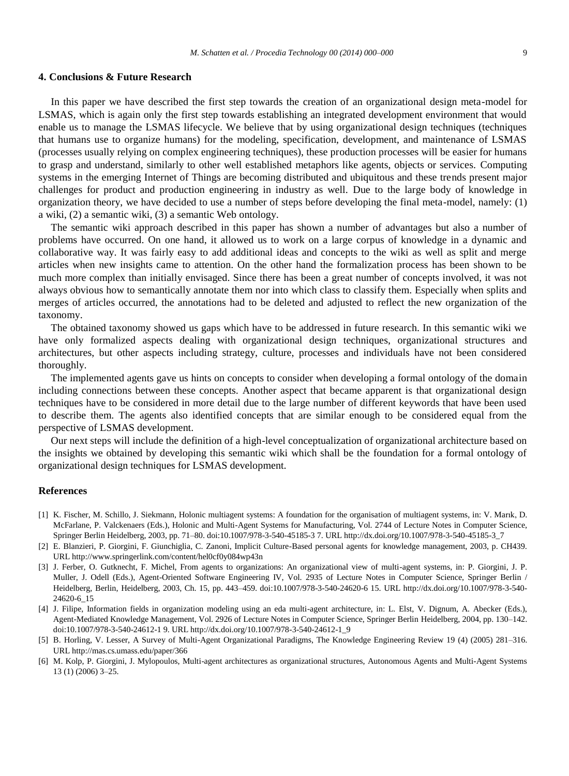#### **4. Conclusions & Future Research**

In this paper we have described the first step towards the creation of an organizational design meta-model for LSMAS, which is again only the first step towards establishing an integrated development environment that would enable us to manage the LSMAS lifecycle. We believe that by using organizational design techniques (techniques that humans use to organize humans) for the modeling, specification, development, and maintenance of LSMAS (processes usually relying on complex engineering techniques), these production processes will be easier for humans to grasp and understand, similarly to other well established metaphors like agents, objects or services. Computing systems in the emerging Internet of Things are becoming distributed and ubiquitous and these trends present major challenges for product and production engineering in industry as well. Due to the large body of knowledge in organization theory, we have decided to use a number of steps before developing the final meta-model, namely: (1) a wiki, (2) a semantic wiki, (3) a semantic Web ontology.

The semantic wiki approach described in this paper has shown a number of advantages but also a number of problems have occurred. On one hand, it allowed us to work on a large corpus of knowledge in a dynamic and collaborative way. It was fairly easy to add additional ideas and concepts to the wiki as well as split and merge articles when new insights came to attention. On the other hand the formalization process has been shown to be much more complex than initially envisaged. Since there has been a great number of concepts involved, it was not always obvious how to semantically annotate them nor into which class to classify them. Especially when splits and merges of articles occurred, the annotations had to be deleted and adjusted to reflect the new organization of the taxonomy.

The obtained taxonomy showed us gaps which have to be addressed in future research. In this semantic wiki we have only formalized aspects dealing with organizational design techniques, organizational structures and architectures, but other aspects including strategy, culture, processes and individuals have not been considered thoroughly.

The implemented agents gave us hints on concepts to consider when developing a formal ontology of the domain including connections between these concepts. Another aspect that became apparent is that organizational design techniques have to be considered in more detail due to the large number of different keywords that have been used to describe them. The agents also identified concepts that are similar enough to be considered equal from the perspective of LSMAS development.

Our next steps will include the definition of a high-level conceptualization of organizational architecture based on the insights we obtained by developing this semantic wiki which shall be the foundation for a formal ontology of organizational design techniques for LSMAS development.

#### **References**

- [1] K. Fischer, M. Schillo, J. Siekmann, Holonic multiagent systems: A foundation for the organisation of multiagent systems, in: V. Marık, D. McFarlane, P. Valckenaers (Eds.), Holonic and Multi-Agent Systems for Manufacturing, Vol. 2744 of Lecture Notes in Computer Science, Springer Berlin Heidelberg, 2003, pp. 71–80. doi:10.1007/978-3-540-45185-3 7. URL http://dx.doi.org/10.1007/978-3-540-45185-3\_7
- [2] E. Blanzieri, P. Giorgini, F. Giunchiglia, C. Zanoni, Implicit Culture-Based personal agents for knowledge management, 2003, p. CH439. URL http://www.springerlink.com/content/hel0cf0y084wp43n
- [3] J. Ferber, O. Gutknecht, F. Michel, From agents to organizations: An organizational view of multi-agent systems, in: P. Giorgini, J. P. Muller, J. Odell (Eds.), Agent-Oriented Software Engineering IV, Vol. 2935 of Lecture Notes in Computer Science, Springer Berlin / Heidelberg, Berlin, Heidelberg, 2003, Ch. 15, pp. 443–459. doi:10.1007/978-3-540-24620-6 15. URL http://dx.doi.org/10.1007/978-3-540- 24620-6\_15
- [4] J. Filipe, Information fields in organization modeling using an eda multi-agent architecture, in: L. Elst, V. Dignum, A. Abecker (Eds.), Agent-Mediated Knowledge Management, Vol. 2926 of Lecture Notes in Computer Science, Springer Berlin Heidelberg, 2004, pp. 130–142. doi:10.1007/978-3-540-24612-1 9. URL http://dx.doi.org/10.1007/978-3-540-24612-1\_9
- [5] B. Horling, V. Lesser, A Survey of Multi-Agent Organizational Paradigms, The Knowledge Engineering Review 19 (4) (2005) 281–316. URL http://mas.cs.umass.edu/paper/366
- [6] M. Kolp, P. Giorgini, J. Mylopoulos, Multi-agent architectures as organizational structures, Autonomous Agents and Multi-Agent Systems 13 (1) (2006) 3–25.